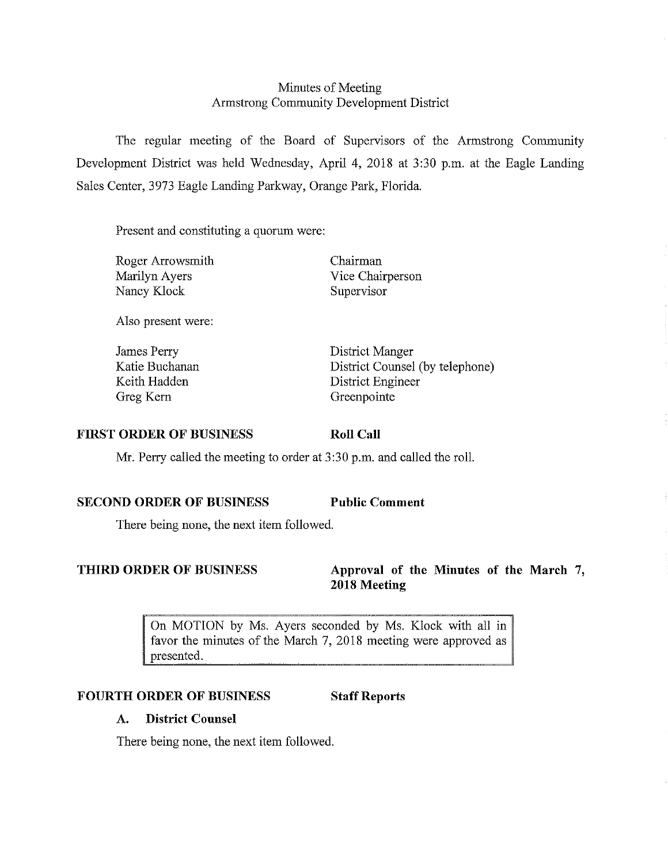# Minutes of Meeting Armstrong Community Development District

The regular meeting of the Board of Supervisors of the Armstrong Community Development District was held Wednesday, April 4, 2018 at 3:30 p.m. at the Eagle Landing Sales Center, 3973 Eagle Landing Parkway, Orange Park, Florida.

Present and constituting a quorum were:

Roger Arrowsmith Marilyn Ayers Nancy Klock

Also present were:

James Perry Katie Buchanan Keith Hadden Greg Kem

Chairman Vice Chairperson Supervisor

District Manger District Counsel (by telephone) District Engineer Greenpointe

#### **FIRST ORDER OF BUSINESS**

Mr. Perry called the meeting to order at 3 :30 p.m. and called the roll.

### **SECOND ORDER OF BUSINESS Public Comment**

**Roll Call** 

There being none, the next item followed.

**THIRD ORDER OF BUSINESS Approval of the Minutes of the March** 7, **2018 Meeting** 

> On MOTION by Ms. Ayers seconded by Ms. Klock with all in favor the minutes of the March 7, 2018 meeting were approved as presented.

#### **FOURTH ORDER OF BUSINESS Staff Reports**

# **A. District Counsel**

There being none, the next item followed.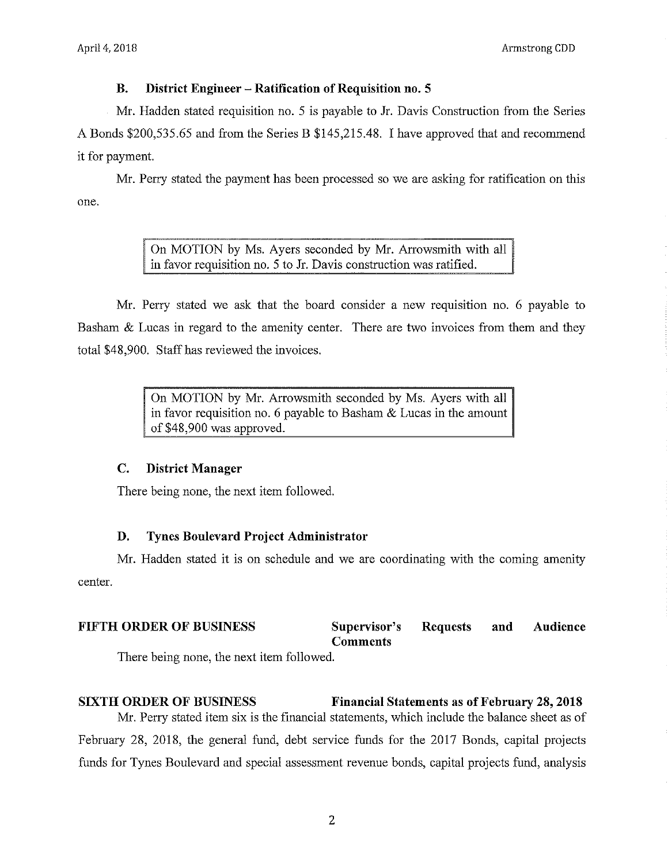#### **B. District Engineer - Ratification of Requisition no. 5**

Mr. Hadden stated requisition no. 5 is payable to Jr. Davis Construction from the Series A Bonds \$200,535.65 and from the Series B \$145,215.48. I have approved that and recommend it for payment.

one. Mr. Perry stated the payment has been processed so we are asking for ratification on this

> On MOTION by Ms. Ayers seconded by Mr. Arrowsmith with all in favor requisition no. 5 to Jr. Davis construction was ratified.

Mr. Perry stated we ask that the board consider a new requisition no. 6 payable to Basham & Lucas in regard to the amenity center. There are two invoices from them and they total \$48,900. Staff has reviewed the invoices.

> On MOTION by Mr. Arrowsmith seconded by Ms. Ayers with all in favor requisition no. 6 payable to Basham & Lucas in the amount of \$48,900 was approved.

#### **C. District Manager**

There being none, the next item followed.

## **D. Tynes Boulevard Project Administrator**

center. Mr. Hadden stated it is on schedule and we are coordinating with the coming amenity

#### **FIFTH ORDER OF BUSINESS** Supervisor's Requests **Comments and Audience**

There being none, the next item followed.

**SIXTH ORDER OF BUSINESS Financial Statements as of February 28, 2018**  Mr. Perry stated item six is the financial statements, which include the balance sheet as of February 28, 2018, the general fund, debt service funds for the 2017 Bonds, capital projects funds for Tynes Boulevard and special assessment revenue bonds, capital projects fund, analysis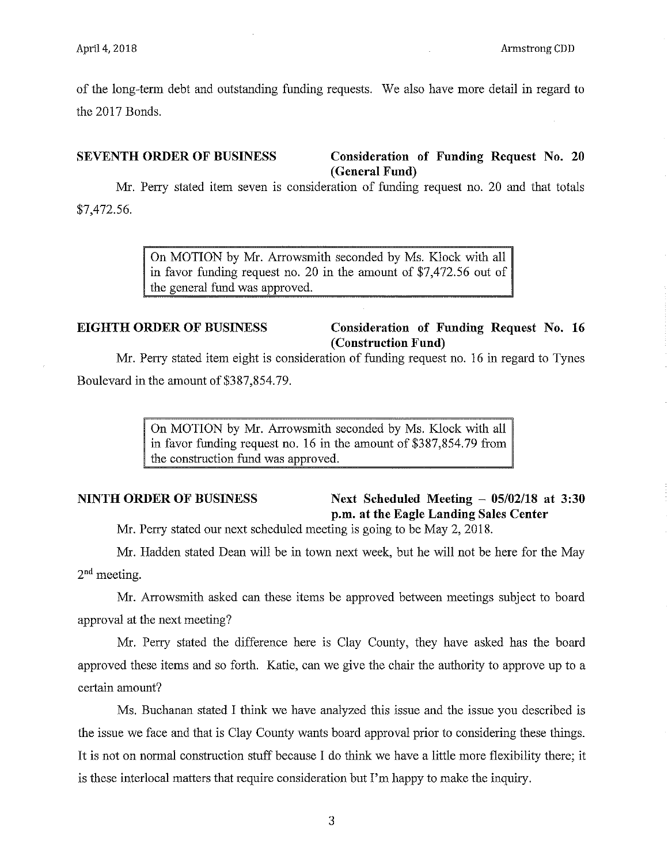of the long-term debt and outstanding funding requests. We also have more detail in regard to the 2017 Bonds.

#### **SEVENTH ORDER OF BUSINESS Consideration of Funding Request** No. **20 (General Fund)**

Mr. Perry stated item seven is consideration of funding request no. 20 and that totals \$7,472.56.

> On MOTION by Mr. Arrowsmith seconded by Ms. Klock with all in favor funding request no. 20 in the amount of \$7,472.56 out of the general fund was approved.

# **EIGHTH ORDER OF BUSINESS Consideration of Funding Request No. 16 (Construction Fund)**

Mr. Perry stated item eight is consideration of funding request no. 16 in regard to Tynes Boulevard in the amount of \$387,854.79.

> On MOTION by Mr. Arrowsmith seconded by Ms. Klock with all in favor funding request no. 16 in the amount of \$387,854.79 from the construction fund was approved.

## **NINTH ORDER OF BUSINESS Next Scheduled Meeting - 05/02/18 at 3:30 p.m. at the Eagle Landing Sales Center**

Mr. Perry stated our next scheduled meeting is going to be May 2, 2018.

Mr. Hadden stated Dean will be in town next week, but he will not be here for the May  $2<sup>nd</sup>$  meeting.

Mr. Arrowsmith asked can these items be approved between meetings subject to board approval at the next meeting?

Mr. Perry stated the difference here is Clay County, they have asked has the board approved these items and so forth. Katie, can we give the chair the authority to approve up to a certain amount?

Ms. Buchanan stated I think we have analyzed this issue and the issue you described is the issue we face and that is Clay County wants board approval prior to considering these things. It is not on normal construction stuff because I do think we have a little more flexibility there; it is these interlocal matters that require consideration but I'm happy to make the inquiry.

3